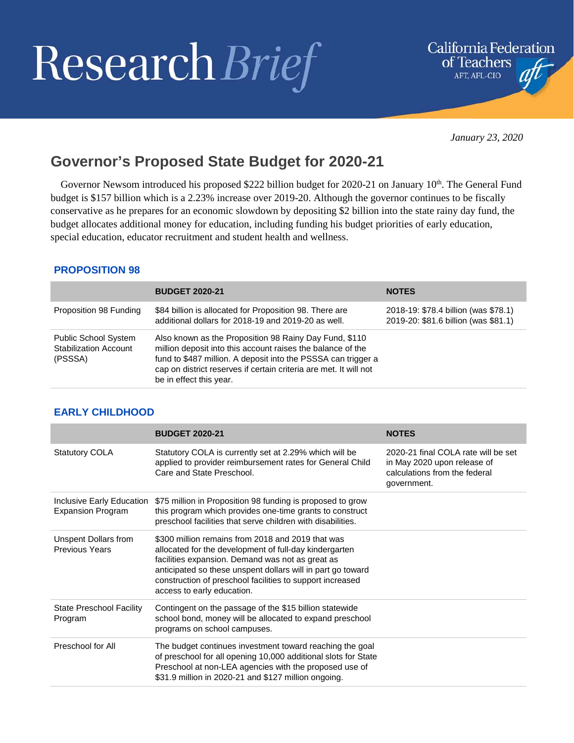# Research Brief

**California Federation** of Teachers AFT, AFL-CIO

*January 23, 2020*

## **Governor's Proposed State Budget for 2020-21**

Governor Newsom introduced his proposed \$222 billion budget for 2020-21 on January 10<sup>th</sup>. The General Fund budget is \$157 billion which is a 2.23% increase over 2019-20. Although the governor continues to be fiscally conservative as he prepares for an economic slowdown by depositing \$2 billion into the state rainy day fund, the budget allocates additional money for education, including funding his budget priorities of early education, special education, educator recruitment and student health and wellness.

#### **PROPOSITION 98**

|                                                                        | <b>BUDGET 2020-21</b>                                                                                                                                                                                                                                                                  | <b>NOTES</b>                                                                 |
|------------------------------------------------------------------------|----------------------------------------------------------------------------------------------------------------------------------------------------------------------------------------------------------------------------------------------------------------------------------------|------------------------------------------------------------------------------|
| Proposition 98 Funding                                                 | \$84 billion is allocated for Proposition 98. There are<br>additional dollars for 2018-19 and 2019-20 as well.                                                                                                                                                                         | 2018-19: \$78.4 billion (was \$78.1)<br>2019-20: \$81.6 billion (was \$81.1) |
| <b>Public School System</b><br><b>Stabilization Account</b><br>(PSSSA) | Also known as the Proposition 98 Rainy Day Fund, \$110<br>million deposit into this account raises the balance of the<br>fund to \$487 million. A deposit into the PSSSA can trigger a<br>cap on district reserves if certain criteria are met. It will not<br>be in effect this year. |                                                                              |

#### **EARLY CHILDHOOD**

|                                                       | <b>BUDGET 2020-21</b>                                                                                                                                                                                                                                                                                                     | <b>NOTES</b>                                                                                                       |
|-------------------------------------------------------|---------------------------------------------------------------------------------------------------------------------------------------------------------------------------------------------------------------------------------------------------------------------------------------------------------------------------|--------------------------------------------------------------------------------------------------------------------|
| <b>Statutory COLA</b>                                 | Statutory COLA is currently set at 2.29% which will be<br>applied to provider reimbursement rates for General Child<br>Care and State Preschool.                                                                                                                                                                          | 2020-21 final COLA rate will be set<br>in May 2020 upon release of<br>calculations from the federal<br>government. |
| Inclusive Early Education<br><b>Expansion Program</b> | \$75 million in Proposition 98 funding is proposed to grow<br>this program which provides one-time grants to construct<br>preschool facilities that serve children with disabilities.                                                                                                                                     |                                                                                                                    |
| Unspent Dollars from<br><b>Previous Years</b>         | \$300 million remains from 2018 and 2019 that was<br>allocated for the development of full-day kindergarten<br>facilities expansion. Demand was not as great as<br>anticipated so these unspent dollars will in part go toward<br>construction of preschool facilities to support increased<br>access to early education. |                                                                                                                    |
| State Preschool Facility<br>Program                   | Contingent on the passage of the \$15 billion statewide<br>school bond, money will be allocated to expand preschool<br>programs on school campuses.                                                                                                                                                                       |                                                                                                                    |
| Preschool for All                                     | The budget continues investment toward reaching the goal<br>of preschool for all opening 10,000 additional slots for State<br>Preschool at non-LEA agencies with the proposed use of<br>\$31.9 million in 2020-21 and \$127 million ongoing.                                                                              |                                                                                                                    |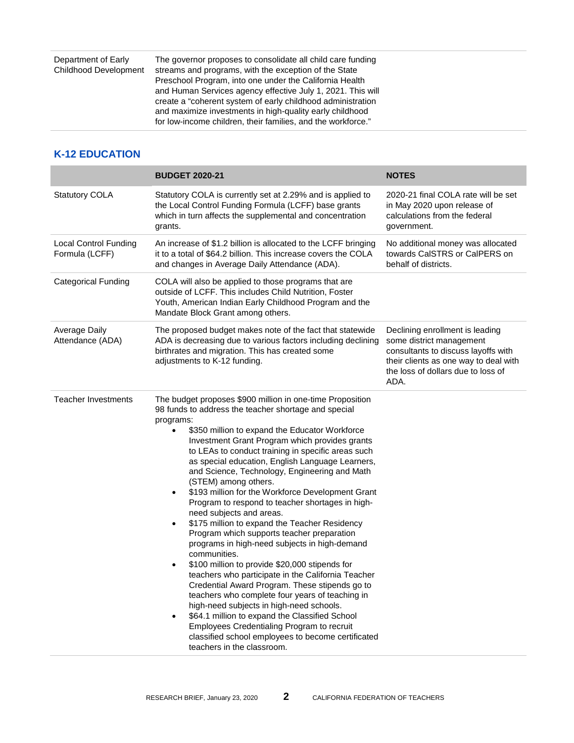Department of Early Childhood Development The governor proposes to consolidate all child care funding streams and programs, with the exception of the State Preschool Program, into one under the California Health and Human Services agency effective July 1, 2021. This will create a "coherent system of early childhood administration and maximize investments in high-quality early childhood for low-income children, their families, and the workforce."

#### **K-12 EDUCATION**

|                                         | <b>BUDGET 2020-21</b>                                                                                                                                                                                                                                                                                                                                                                                                                                                                                                                                                                                                                                                                                                                                                                                                                                                                                                                                                                                                                                                                                                                                                                                                                    | <b>NOTES</b>                                                                                                                                                                              |
|-----------------------------------------|------------------------------------------------------------------------------------------------------------------------------------------------------------------------------------------------------------------------------------------------------------------------------------------------------------------------------------------------------------------------------------------------------------------------------------------------------------------------------------------------------------------------------------------------------------------------------------------------------------------------------------------------------------------------------------------------------------------------------------------------------------------------------------------------------------------------------------------------------------------------------------------------------------------------------------------------------------------------------------------------------------------------------------------------------------------------------------------------------------------------------------------------------------------------------------------------------------------------------------------|-------------------------------------------------------------------------------------------------------------------------------------------------------------------------------------------|
| <b>Statutory COLA</b>                   | Statutory COLA is currently set at 2.29% and is applied to<br>the Local Control Funding Formula (LCFF) base grants<br>which in turn affects the supplemental and concentration<br>grants.                                                                                                                                                                                                                                                                                                                                                                                                                                                                                                                                                                                                                                                                                                                                                                                                                                                                                                                                                                                                                                                | 2020-21 final COLA rate will be set<br>in May 2020 upon release of<br>calculations from the federal<br>government.                                                                        |
| Local Control Funding<br>Formula (LCFF) | An increase of \$1.2 billion is allocated to the LCFF bringing<br>it to a total of \$64.2 billion. This increase covers the COLA<br>and changes in Average Daily Attendance (ADA).                                                                                                                                                                                                                                                                                                                                                                                                                                                                                                                                                                                                                                                                                                                                                                                                                                                                                                                                                                                                                                                       | No additional money was allocated<br>towards CalSTRS or CalPERS on<br>behalf of districts.                                                                                                |
| Categorical Funding                     | COLA will also be applied to those programs that are<br>outside of LCFF. This includes Child Nutrition, Foster<br>Youth, American Indian Early Childhood Program and the<br>Mandate Block Grant among others.                                                                                                                                                                                                                                                                                                                                                                                                                                                                                                                                                                                                                                                                                                                                                                                                                                                                                                                                                                                                                            |                                                                                                                                                                                           |
| Average Daily<br>Attendance (ADA)       | The proposed budget makes note of the fact that statewide<br>ADA is decreasing due to various factors including declining<br>birthrates and migration. This has created some<br>adjustments to K-12 funding.                                                                                                                                                                                                                                                                                                                                                                                                                                                                                                                                                                                                                                                                                                                                                                                                                                                                                                                                                                                                                             | Declining enrollment is leading<br>some district management<br>consultants to discuss layoffs with<br>their clients as one way to deal with<br>the loss of dollars due to loss of<br>ADA. |
| <b>Teacher Investments</b>              | The budget proposes \$900 million in one-time Proposition<br>98 funds to address the teacher shortage and special<br>programs:<br>\$350 million to expand the Educator Workforce<br>$\bullet$<br>Investment Grant Program which provides grants<br>to LEAs to conduct training in specific areas such<br>as special education, English Language Learners,<br>and Science, Technology, Engineering and Math<br>(STEM) among others.<br>\$193 million for the Workforce Development Grant<br>$\bullet$<br>Program to respond to teacher shortages in high-<br>need subjects and areas.<br>\$175 million to expand the Teacher Residency<br>$\bullet$<br>Program which supports teacher preparation<br>programs in high-need subjects in high-demand<br>communities.<br>\$100 million to provide \$20,000 stipends for<br>$\bullet$<br>teachers who participate in the California Teacher<br>Credential Award Program. These stipends go to<br>teachers who complete four years of teaching in<br>high-need subjects in high-need schools.<br>\$64.1 million to expand the Classified School<br>$\bullet$<br>Employees Credentialing Program to recruit<br>classified school employees to become certificated<br>teachers in the classroom. |                                                                                                                                                                                           |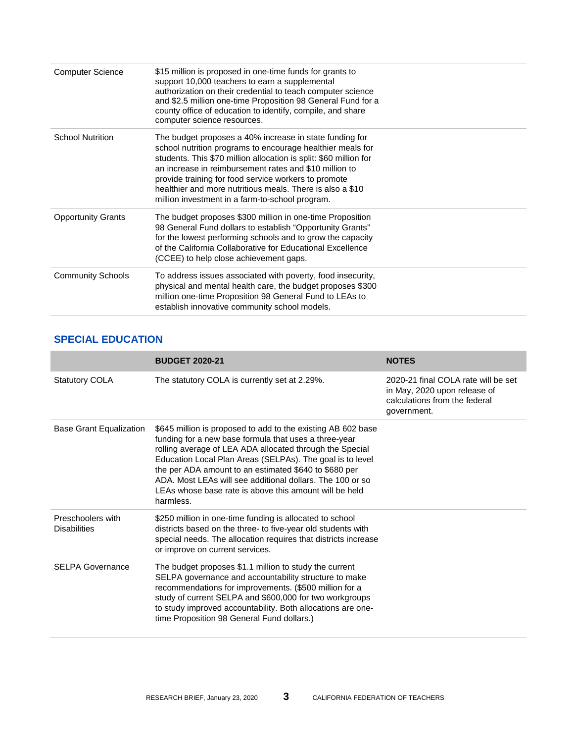| <b>Computer Science</b>   | \$15 million is proposed in one-time funds for grants to<br>support 10,000 teachers to earn a supplemental<br>authorization on their credential to teach computer science<br>and \$2.5 million one-time Proposition 98 General Fund for a<br>county office of education to identify, compile, and share<br>computer science resources.                                                                                       |
|---------------------------|------------------------------------------------------------------------------------------------------------------------------------------------------------------------------------------------------------------------------------------------------------------------------------------------------------------------------------------------------------------------------------------------------------------------------|
| <b>School Nutrition</b>   | The budget proposes a 40% increase in state funding for<br>school nutrition programs to encourage healthier meals for<br>students. This \$70 million allocation is split: \$60 million for<br>an increase in reimbursement rates and \$10 million to<br>provide training for food service workers to promote<br>healthier and more nutritious meals. There is also a \$10<br>million investment in a farm-to-school program. |
| <b>Opportunity Grants</b> | The budget proposes \$300 million in one-time Proposition<br>98 General Fund dollars to establish "Opportunity Grants"<br>for the lowest performing schools and to grow the capacity<br>of the California Collaborative for Educational Excellence<br>(CCEE) to help close achievement gaps.                                                                                                                                 |
| <b>Community Schools</b>  | To address issues associated with poverty, food insecurity,<br>physical and mental health care, the budget proposes \$300<br>million one-time Proposition 98 General Fund to LEAs to<br>establish innovative community school models.                                                                                                                                                                                        |

#### **SPECIAL EDUCATION**

|                                          | <b>BUDGET 2020-21</b>                                                                                                                                                                                                                                                                                                                                                                                                                       | <b>NOTES</b>                                                                                                        |
|------------------------------------------|---------------------------------------------------------------------------------------------------------------------------------------------------------------------------------------------------------------------------------------------------------------------------------------------------------------------------------------------------------------------------------------------------------------------------------------------|---------------------------------------------------------------------------------------------------------------------|
| <b>Statutory COLA</b>                    | The statutory COLA is currently set at 2.29%.                                                                                                                                                                                                                                                                                                                                                                                               | 2020-21 final COLA rate will be set<br>in May, 2020 upon release of<br>calculations from the federal<br>government. |
| <b>Base Grant Equalization</b>           | \$645 million is proposed to add to the existing AB 602 base<br>funding for a new base formula that uses a three-year<br>rolling average of LEA ADA allocated through the Special<br>Education Local Plan Areas (SELPAs). The goal is to level<br>the per ADA amount to an estimated \$640 to \$680 per<br>ADA. Most LEAs will see additional dollars. The 100 or so<br>LEAs whose base rate is above this amount will be held<br>harmless. |                                                                                                                     |
| Preschoolers with<br><b>Disabilities</b> | \$250 million in one-time funding is allocated to school<br>districts based on the three- to five-year old students with<br>special needs. The allocation requires that districts increase<br>or improve on current services.                                                                                                                                                                                                               |                                                                                                                     |
| <b>SELPA Governance</b>                  | The budget proposes \$1.1 million to study the current<br>SELPA governance and accountability structure to make<br>recommendations for improvements. (\$500 million for a<br>study of current SELPA and \$600,000 for two workgroups<br>to study improved accountability. Both allocations are one-<br>time Proposition 98 General Fund dollars.)                                                                                           |                                                                                                                     |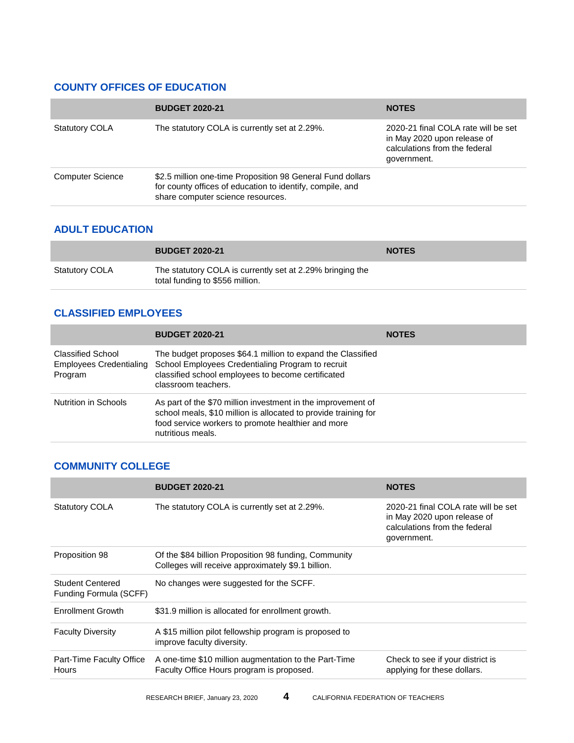#### **COUNTY OFFICES OF EDUCATION**

|                         | <b>BUDGET 2020-21</b>                                                                                                                                        | <b>NOTES</b>                                                                                                       |
|-------------------------|--------------------------------------------------------------------------------------------------------------------------------------------------------------|--------------------------------------------------------------------------------------------------------------------|
| <b>Statutory COLA</b>   | The statutory COLA is currently set at 2.29%.                                                                                                                | 2020-21 final COLA rate will be set<br>in May 2020 upon release of<br>calculations from the federal<br>government. |
| <b>Computer Science</b> | \$2.5 million one-time Proposition 98 General Fund dollars<br>for county offices of education to identify, compile, and<br>share computer science resources. |                                                                                                                    |

#### **ADULT EDUCATION**

|                       | <b>BUDGET 2020-21</b>                                                                        | <b>NOTES</b> |
|-----------------------|----------------------------------------------------------------------------------------------|--------------|
| <b>Statutory COLA</b> | The statutory COLA is currently set at 2.29% bringing the<br>total funding to \$556 million. |              |

#### **CLASSIFIED EMPLOYEES**

|                                                         | <b>BUDGET 2020-21</b>                                                                                                                                                                                      | <b>NOTES</b> |
|---------------------------------------------------------|------------------------------------------------------------------------------------------------------------------------------------------------------------------------------------------------------------|--------------|
| Classified School<br>Employees Credentialing<br>Program | The budget proposes \$64.1 million to expand the Classified<br>School Employees Credentialing Program to recruit<br>classified school employees to become certificated<br>classroom teachers.              |              |
| Nutrition in Schools                                    | As part of the \$70 million investment in the improvement of<br>school meals, \$10 million is allocated to provide training for<br>food service workers to promote healthier and more<br>nutritious meals. |              |

#### **COMMUNITY COLLEGE**

|                                                   | <b>BUDGET 2020-21</b>                                                                                       | <b>NOTES</b>                                                                                                       |
|---------------------------------------------------|-------------------------------------------------------------------------------------------------------------|--------------------------------------------------------------------------------------------------------------------|
| <b>Statutory COLA</b>                             | The statutory COLA is currently set at 2.29%.                                                               | 2020-21 final COLA rate will be set<br>in May 2020 upon release of<br>calculations from the federal<br>government. |
| Proposition 98                                    | Of the \$84 billion Proposition 98 funding, Community<br>Colleges will receive approximately \$9.1 billion. |                                                                                                                    |
| <b>Student Centered</b><br>Funding Formula (SCFF) | No changes were suggested for the SCFF.                                                                     |                                                                                                                    |
| <b>Enrollment Growth</b>                          | \$31.9 million is allocated for enrollment growth.                                                          |                                                                                                                    |
| <b>Faculty Diversity</b>                          | A \$15 million pilot fellowship program is proposed to<br>improve faculty diversity.                        |                                                                                                                    |
| Part-Time Faculty Office<br>Hours                 | A one-time \$10 million augmentation to the Part-Time<br>Faculty Office Hours program is proposed.          | Check to see if your district is<br>applying for these dollars.                                                    |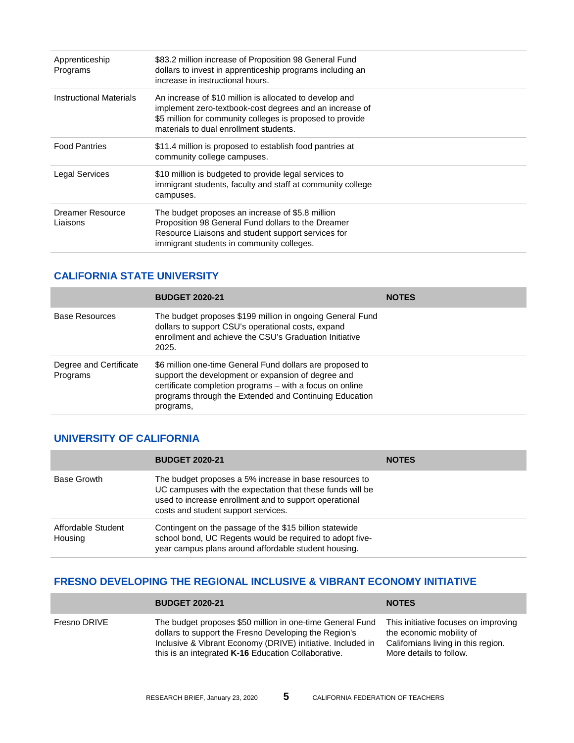| Apprenticeship<br>Programs   | \$83.2 million increase of Proposition 98 General Fund<br>dollars to invest in apprenticeship programs including an<br>increase in instructional hours.                                                                   |
|------------------------------|---------------------------------------------------------------------------------------------------------------------------------------------------------------------------------------------------------------------------|
| Instructional Materials      | An increase of \$10 million is allocated to develop and<br>implement zero-textbook-cost degrees and an increase of<br>\$5 million for community colleges is proposed to provide<br>materials to dual enrollment students. |
| <b>Food Pantries</b>         | \$11.4 million is proposed to establish food pantries at<br>community college campuses.                                                                                                                                   |
| <b>Legal Services</b>        | \$10 million is budgeted to provide legal services to<br>immigrant students, faculty and staff at community college<br>campuses.                                                                                          |
| Dreamer Resource<br>Liaisons | The budget proposes an increase of \$5.8 million<br>Proposition 98 General Fund dollars to the Dreamer<br>Resource Liaisons and student support services for<br>immigrant students in community colleges.                 |

#### **CALIFORNIA STATE UNIVERSITY**

|                                    | <b>BUDGET 2020-21</b>                                                                                                                                                                                                                              | <b>NOTES</b> |
|------------------------------------|----------------------------------------------------------------------------------------------------------------------------------------------------------------------------------------------------------------------------------------------------|--------------|
| <b>Base Resources</b>              | The budget proposes \$199 million in ongoing General Fund<br>dollars to support CSU's operational costs, expand<br>enrollment and achieve the CSU's Graduation Initiative<br>2025.                                                                 |              |
| Degree and Certificate<br>Programs | \$6 million one-time General Fund dollars are proposed to<br>support the development or expansion of degree and<br>certificate completion programs - with a focus on online<br>programs through the Extended and Continuing Education<br>programs, |              |

### **UNIVERSITY OF CALIFORNIA**

|                               | <b>BUDGET 2020-21</b>                                                                                                                                                                                                | <b>NOTES</b> |
|-------------------------------|----------------------------------------------------------------------------------------------------------------------------------------------------------------------------------------------------------------------|--------------|
| Base Growth                   | The budget proposes a 5% increase in base resources to<br>UC campuses with the expectation that these funds will be<br>used to increase enrollment and to support operational<br>costs and student support services. |              |
| Affordable Student<br>Housing | Contingent on the passage of the \$15 billion statewide<br>school bond, UC Regents would be required to adopt five-<br>year campus plans around affordable student housing.                                          |              |

#### **FRESNO DEVELOPING THE REGIONAL INCLUSIVE & VIBRANT ECONOMY INITIATIVE**

|              | <b>BUDGET 2020-21</b>                                                                                                                                                                                                                    | <b>NOTES</b>                                                                                                                       |
|--------------|------------------------------------------------------------------------------------------------------------------------------------------------------------------------------------------------------------------------------------------|------------------------------------------------------------------------------------------------------------------------------------|
| Fresno DRIVE | The budget proposes \$50 million in one-time General Fund<br>dollars to support the Fresno Developing the Region's<br>Inclusive & Vibrant Economy (DRIVE) initiative. Included in<br>this is an integrated K-16 Education Collaborative. | This initiative focuses on improving<br>the economic mobility of<br>Californians living in this region.<br>More details to follow. |